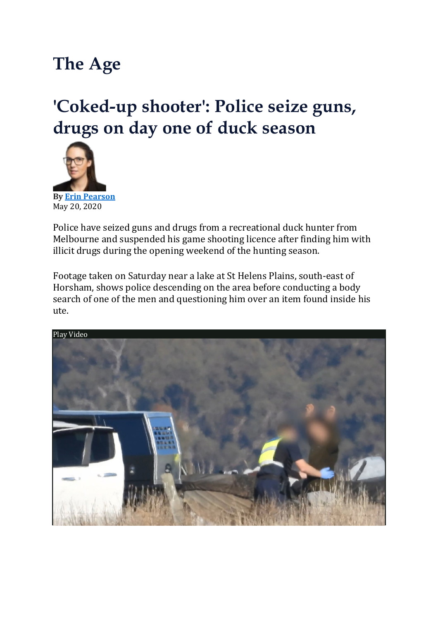## **The Age**

## **'Coked-up shooter': Police seize guns, drugs on day one of duck season**



**By Erin [Pearson](https://www.theage.com.au/by/erin-pearson-h0ynf9)** May 20, 2020

Police have seized guns and drugs from a recreational duck hunter from Melbourne and suspended his game shooting licence after finding him with illicit drugs during the opening weekend of the hunting season.

Footage taken on Saturday near a lake at St Helens Plains, south-east of Horsham, shows police descending on the area before conducting a body search of one of the men and questioning him over an item found inside his ute.

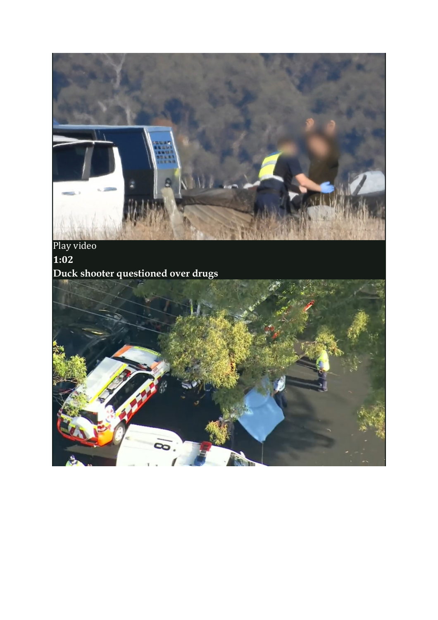

Play video **1:02 Duck shooter questioned over drugs**

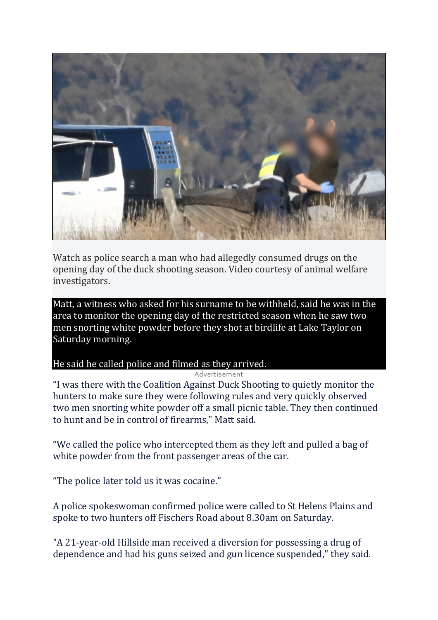

Watch as police search a man who had allegedly consumed drugs on the opening day of the duck shooting season. Video courtesy of animal welfare investigators.

Matt, a witness who asked for his surname to be withheld, said he was in the area to monitor the opening day of the restricted season when he saw two men snorting white powder before they shot at birdlife at Lake Taylor on Saturday morning.

## He said he called police and filmed as they arrived.

## Advertisement

"I was there with the Coalition Against Duck Shooting to quietly monitor the hunters to make sure they were following rules and very quickly observed two men snorting white powder off a small picnic table. They then continued to hunt and be in control of firearms," Matt said.

"We called the police who intercepted them as they left and pulled a bag of white powder from the front passenger areas of the car.

"The police later told us it was cocaine."

A police spokeswoman confirmed police were called to St Helens Plains and spoke to two hunters off Fischers Road about 8.30am on Saturday.

"A 21-year-old Hillside man received a diversion for possessing a drug of dependence and had his guns seized and gun licence suspended," they said.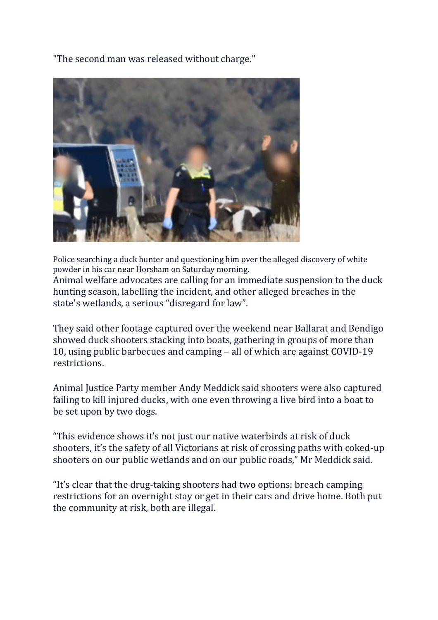"The second man was released without charge."



Police searching a duck hunter and questioning him over the alleged discovery of white powder in his car near Horsham on Saturday morning. Animal welfare advocates are calling for an immediate suspension to the duck

hunting season, labelling the incident, and other alleged breaches in the state's wetlands, a serious "disregard for law".

They said other footage captured over the weekend near Ballarat and Bendigo showed duck shooters stacking into boats, gathering in groups of more than 10, using public barbecues and camping – all of which are against COVID-19 restrictions.

Animal Justice Party member Andy Meddick said shooters were also captured failing to kill injured ducks, with one even throwing a live bird into a boat to be set upon by two dogs.

"This evidence shows it's not just our native waterbirds at risk of duck shooters, it's the safety of all Victorians at risk of crossing paths with coked-up shooters on our public wetlands and on our public roads," Mr Meddick said.

"It's clear that the drug-taking shooters had two options: breach camping restrictions for an overnight stay or get in their cars and drive home. Both put the community at risk, both are illegal.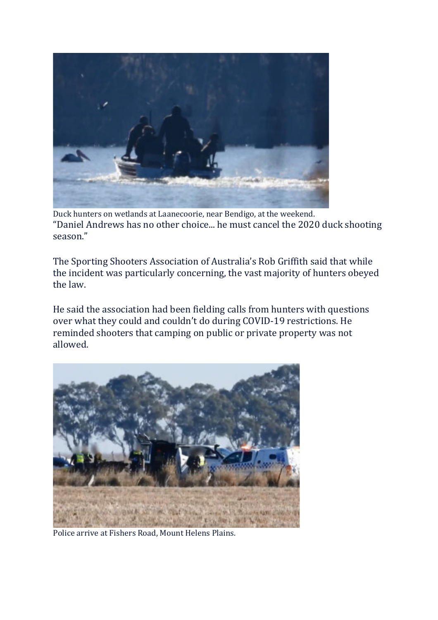

Duck hunters on wetlands at Laanecoorie, near Bendigo, at the weekend. "Daniel Andrews has no other choice... he must cancel the 2020 duck shooting season."

The Sporting Shooters Association of Australia's Rob Griffith said that while the incident was particularly concerning, the vast majority of hunters obeyed the law.

He said the association had been fielding calls from hunters with questions over what they could and couldn't do during COVID-19 restrictions. He reminded shooters that camping on public or private property was not allowed.



Police arrive at Fishers Road, Mount Helens Plains.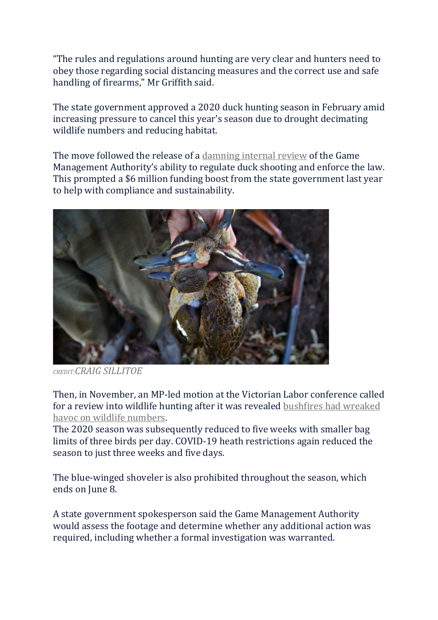"The rules and regulations around hunting are very clear and hunters need to obey those regarding social distancing measures and the correct use and safe handling of firearms," Mr Griffith said.

The state government approved a 2020 duck hunting season in February amid increasing pressure to cancel this year's season due to drought decimating wildlife numbers and reducing habitat.

The move followed the release of a [damning](https://www.theage.com.au/national/victoria/game-hunting-regulator-allows-duck-hunters-to-flout-laws-20180301-p4z2dy.html) internal review of the Game Management Authority's ability to regulate duck shooting and enforce the law. This prompted a \$6 million funding boost from the state government last year to help with compliance and sustainability.



*CREDIT:CRAIG SILLITOE*

Then, in November, an MP-led motion at the Victorian Labor conference called for a review into wildlife hunting after it was revealed [bushfires](https://www.theage.com.au/link/follow-20170101-p53qep) had wreaked havoc on wildlife [numbers.](https://www.theage.com.au/link/follow-20170101-p53qep)

The 2020 season was subsequently reduced to five weeks with smaller bag limits of three birds per day. COVID-19 heath restrictions again reduced the season to just three weeks and five days.

The blue-winged shoveler is also prohibited throughout the season, which ends on June 8.

A state government spokesperson said the Game Management Authority would assess the footage and determine whether any additional action was required, including whether a formal investigation was warranted.